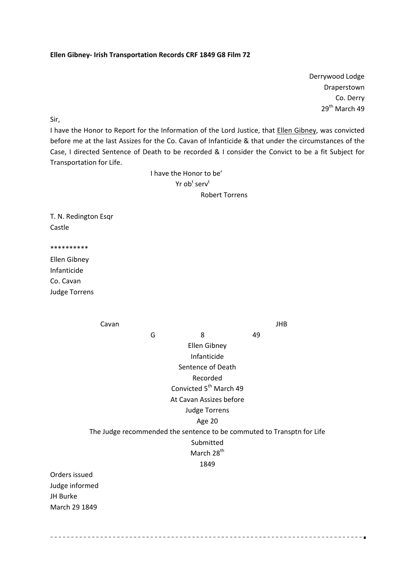## **Ellen Gibney‐ Irish Transportation Records CRF 1849 G8 Film 72**

Derrywood Lodge Draperstown Co. Derry 29<sup>th</sup> March 49

Sir,

I have the Honor to Report for the Information of the Lord Justice, that Ellen Gibney, was convicted before me at the last Assizes for the Co. Cavan of Infanticide & that under the circumstances of the Case, I directed Sentence of Death to be recorded & I consider the Convict to be a fit Subject for Transportation for Life.

 I have the Honor to be'  $\mathsf{Yr}\mathsf{ob}^{\mathsf{t}}\mathsf{serv}^{\mathsf{t}}$ Robert Torrens

T. N. Redington Esqr Castle

\*\*\*\*\*\*\*\*\*\*

Ellen Gibney Infanticide Co. Cavan Judge Torrens

Cavan **Cavan Cavan Cavan Cavan Cavan Cavan** Cavan Cavan Cavan Cavan Cavan Cavan Cavan Cavan Cavan Cavan Cavan Cav G 3 49 Ellen Gibney Infanticide Sentence of Death Recorded Convicted 5<sup>th</sup> March 49 At Cavan Assizes before Judge Torrens Age 20 The Judge recommended the sentence to be commuted to Transptn for Life Submitted March 28<sup>th</sup> 1849 Orders issued Judge informed JH Burke March 29 1849